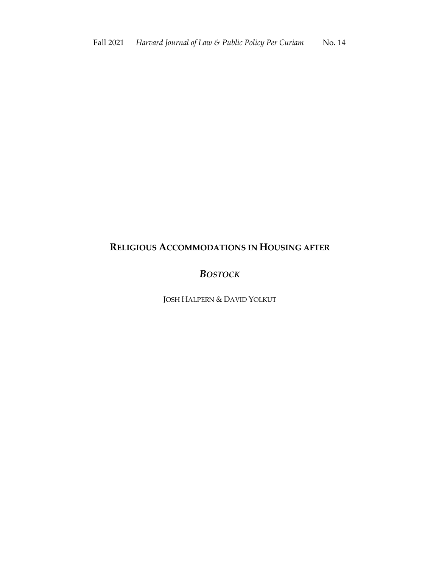## **RELIGIOUS ACCOMMODATIONS IN HOUSING AFTER**

## *BOSTOCK*

JOSH HALPERN & DAVID YOLKUT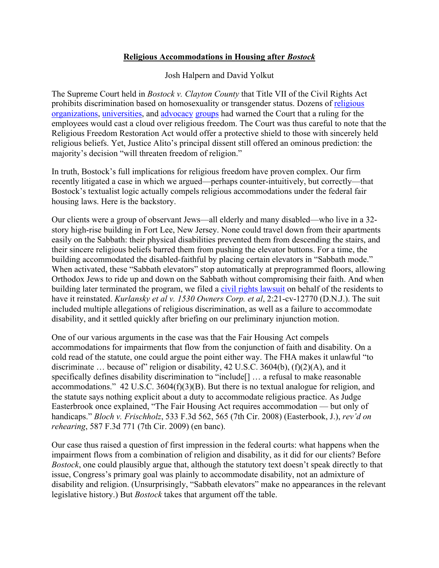## **Religious Accommodations in Housing after** *Bostock*

Josh Halpern and David Yolkut

The Supreme Court held in *Bostock v. Clayton County* that Title VII of the Civil Rights Act prohibits discrimination based on homosexuality or transgender status. Dozens of religious organizations, universities, and advocacy groups had warned the Court that a ruling for the employees would cast a cloud over religious freedom. The Court was thus careful to note that the Religious Freedom Restoration Act would offer a protective shield to those with sincerely held religious beliefs. Yet, Justice Alito's principal dissent still offered an ominous prediction: the majority's decision "will threaten freedom of religion."

In truth, Bostock's full implications for religious freedom have proven complex. Our firm recently litigated a case in which we argued—perhaps counter-intuitively, but correctly—that Bostock's textualist logic actually compels religious accommodations under the federal fair housing laws. Here is the backstory.

Our clients were a group of observant Jews—all elderly and many disabled—who live in a 32 story high-rise building in Fort Lee, New Jersey. None could travel down from their apartments easily on the Sabbath: their physical disabilities prevented them from descending the stairs, and their sincere religious beliefs barred them from pushing the elevator buttons. For a time, the building accommodated the disabled-faithful by placing certain elevators in "Sabbath mode." When activated, these "Sabbath elevators" stop automatically at preprogrammed floors, allowing Orthodox Jews to ride up and down on the Sabbath without compromising their faith. And when building later terminated the program, we filed a civil rights lawsuit on behalf of the residents to have it reinstated. *Kurlansky et al v. 1530 Owners Corp. et al*, 2:21-cv-12770 (D.N.J.). The suit included multiple allegations of religious discrimination, as well as a failure to accommodate disability, and it settled quickly after briefing on our preliminary injunction motion.

One of our various arguments in the case was that the Fair Housing Act compels accommodations for impairments that flow from the conjunction of faith and disability. On a cold read of the statute, one could argue the point either way. The FHA makes it unlawful "to discriminate ... because of religion or disability, 42 U.S.C. 3604(b),  $(f)(2)(A)$ , and it specifically defines disability discrimination to "include[] … a refusal to make reasonable accommodations." 42 U.S.C. 3604(f)(3)(B). But there is no textual analogue for religion, and the statute says nothing explicit about a duty to accommodate religious practice. As Judge Easterbrook once explained, "The Fair Housing Act requires accommodation — but only of handicaps." *Bloch v. Frischholz*, 533 F.3d 562, 565 (7th Cir. 2008) (Easterbook, J.), *rev'd on rehearing*, 587 F.3d 771 (7th Cir. 2009) (en banc).

Our case thus raised a question of first impression in the federal courts: what happens when the impairment flows from a combination of religion and disability, as it did for our clients? Before *Bostock*, one could plausibly argue that, although the statutory text doesn't speak directly to that issue, Congress's primary goal was plainly to accommodate disability, not an admixture of disability and religion. (Unsurprisingly, "Sabbath elevators" make no appearances in the relevant legislative history.) But *Bostock* takes that argument off the table.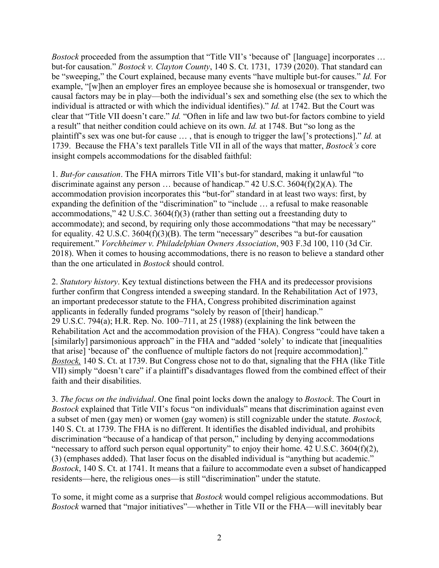*Bostock* proceeded from the assumption that "Title VII's 'because of' [language] incorporates ... but-for causation." *Bostock v. Clayton County*, 140 S. Ct. 1731, 1739 (2020). That standard can be "sweeping," the Court explained, because many events "have multiple but-for causes." *Id.* For example, "[w]hen an employer fires an employee because she is homosexual or transgender, two causal factors may be in play—both the individual's sex and something else (the sex to which the individual is attracted or with which the individual identifies)." *Id.* at 1742. But the Court was clear that "Title VII doesn't care." *Id.* "Often in life and law two but-for factors combine to yield a result" that neither condition could achieve on its own. *Id.* at 1748. But "so long as the plaintiff's sex was one but-for cause … , that is enough to trigger the law['s protections]." *Id.* at 1739. Because the FHA's text parallels Title VII in all of the ways that matter, *Bostock's* core insight compels accommodations for the disabled faithful:

1. *But-for causation*. The FHA mirrors Title VII's but-for standard, making it unlawful "to discriminate against any person … because of handicap." 42 U.S.C. 3604(f)(2)(A). The accommodation provision incorporates this "but-for" standard in at least two ways: first, by expanding the definition of the "discrimination" to "include … a refusal to make reasonable accommodations," 42 U.S.C. 3604(f)(3) (rather than setting out a freestanding duty to accommodate); and second, by requiring only those accommodations "that may be necessary" for equality. 42 U.S.C. 3604(f)(3)(B). The term "necessary" describes "a but-for causation requirement." *Vorchheimer v. Philadelphian Owners Association*, 903 F.3d 100, 110 (3d Cir. 2018). When it comes to housing accommodations, there is no reason to believe a standard other than the one articulated in *Bostock* should control.

2. *Statutory history*. Key textual distinctions between the FHA and its predecessor provisions further confirm that Congress intended a sweeping standard. In the Rehabilitation Act of 1973, an important predecessor statute to the FHA, Congress prohibited discrimination against applicants in federally funded programs "solely by reason of [their] handicap." 29 U.S.C. 794(a); H.R. Rep. No. 100–711, at 25 (1988) (explaining the link between the Rehabilitation Act and the accommodation provision of the FHA). Congress "could have taken a [similarly] parsimonious approach" in the FHA and "added 'solely' to indicate that [inequalities that arise] 'because of' the confluence of multiple factors do not [require accommodation]." *Bostock,* 140 S. Ct. at 1739. But Congress chose not to do that, signaling that the FHA (like Title VII) simply "doesn't care" if a plaintiff's disadvantages flowed from the combined effect of their faith and their disabilities.

3. *The focus on the individual*. One final point locks down the analogy to *Bostock*. The Court in *Bostock* explained that Title VII's focus "on individuals" means that discrimination against even a subset of men (gay men) or women (gay women) is still cognizable under the statute. *Bostock,*  140 S. Ct. at 1739. The FHA is no different. It identifies the disabled individual, and prohibits discrimination "because of a handicap of that person," including by denying accommodations "necessary to afford such person equal opportunity" to enjoy their home. 42 U.S.C. 3604(f)(2), (3) (emphases added). That laser focus on the disabled individual is "anything but academic." *Bostock*, 140 S. Ct. at 1741. It means that a failure to accommodate even a subset of handicapped residents—here, the religious ones—is still "discrimination" under the statute.

To some, it might come as a surprise that *Bostock* would compel religious accommodations. But *Bostock* warned that "major initiatives"—whether in Title VII or the FHA—will inevitably bear